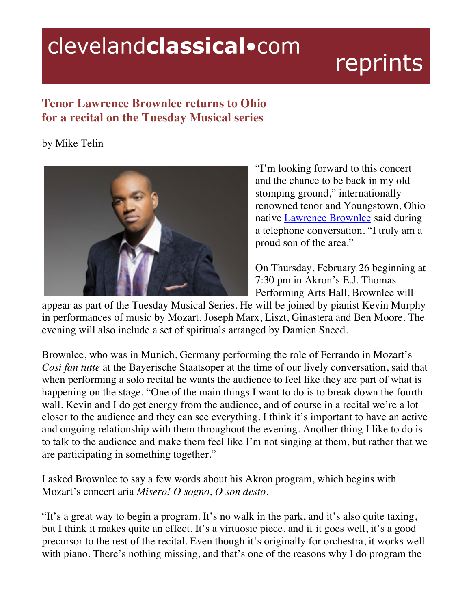## clevelandclassical.com

## reprints

## **Tenor Lawrence Brownlee returns to Ohio for a recital on the Tuesday Musical series**

## by Mike Telin



"I'm looking forward to this concert and the chance to be back in my old stomping ground," internationallyrenowned tenor and Youngstown, Ohio native Lawrence Brownlee said during a telephone conversation. "I truly am a proud son of the area."

On Thursday, February 26 beginning at 7:30 pm in Akron's E.J. Thomas Performing Arts Hall, Brownlee will

appear as part of the Tuesday Musical Series. He will be joined by pianist Kevin Murphy in performances of music by Mozart, Joseph Marx, Liszt, Ginastera and Ben Moore. The evening will also include a set of spirituals arranged by Damien Sneed.

Brownlee, who was in Munich, Germany performing the role of Ferrando in Mozart's *Così fan tutte* at the Bayerische Staatsoper at the time of our lively conversation, said that when performing a solo recital he wants the audience to feel like they are part of what is happening on the stage. "One of the main things I want to do is to break down the fourth wall. Kevin and I do get energy from the audience, and of course in a recital we're a lot closer to the audience and they can see everything. I think it's important to have an active and ongoing relationship with them throughout the evening. Another thing I like to do is to talk to the audience and make them feel like I'm not singing at them, but rather that we are participating in something together."

I asked Brownlee to say a few words about his Akron program, which begins with Mozart's concert aria *Misero! O sogno, O son desto*.

"It's a great way to begin a program. It's no walk in the park, and it's also quite taxing, but I think it makes quite an effect. It's a virtuosic piece, and if it goes well, it's a good precursor to the rest of the recital. Even though it's originally for orchestra, it works well with piano. There's nothing missing, and that's one of the reasons why I do program the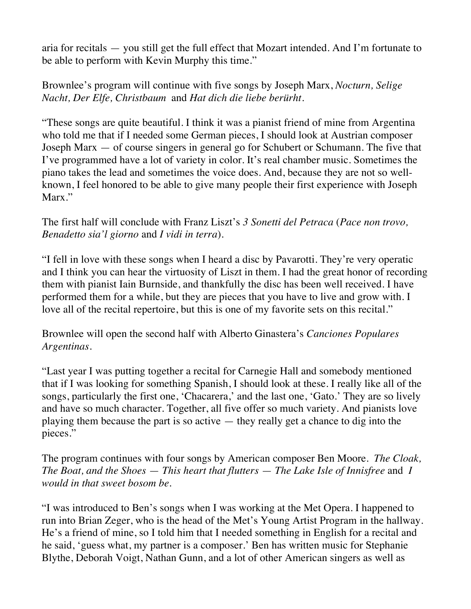aria for recitals — you still get the full effect that Mozart intended. And I'm fortunate to be able to perform with Kevin Murphy this time."

Brownlee's program will continue with five songs by Joseph Marx, *Nocturn, Selige Nacht, Der Elfe, Christbaum* and *Hat dich die liebe berürht*.

"These songs are quite beautiful. I think it was a pianist friend of mine from Argentina who told me that if I needed some German pieces, I should look at Austrian composer Joseph Marx — of course singers in general go for Schubert or Schumann. The five that I've programmed have a lot of variety in color. It's real chamber music. Sometimes the piano takes the lead and sometimes the voice does. And, because they are not so wellknown, I feel honored to be able to give many people their first experience with Joseph Marx."

The first half will conclude with Franz Liszt's *3 Sonetti del Petraca* (*Pace non trovo, Benadetto sia'l giorno* and *I vidi in terra*).

"I fell in love with these songs when I heard a disc by Pavarotti. They're very operatic and I think you can hear the virtuosity of Liszt in them. I had the great honor of recording them with pianist Iain Burnside, and thankfully the disc has been well received. I have performed them for a while, but they are pieces that you have to live and grow with. I love all of the recital repertoire, but this is one of my favorite sets on this recital."

Brownlee will open the second half with Alberto Ginastera's *Canciones Populares Argentinas*.

"Last year I was putting together a recital for Carnegie Hall and somebody mentioned that if I was looking for something Spanish, I should look at these. I really like all of the songs, particularly the first one, 'Chacarera,' and the last one, 'Gato.' They are so lively and have so much character. Together, all five offer so much variety. And pianists love playing them because the part is so active — they really get a chance to dig into the pieces."

The program continues with four songs by American composer Ben Moore. *The Cloak, The Boat, and the Shoes* — *This heart that flutters* — *The Lake Isle of Innisfree* and *I would in that sweet bosom be*.

"I was introduced to Ben's songs when I was working at the Met Opera. I happened to run into Brian Zeger, who is the head of the Met's Young Artist Program in the hallway. He's a friend of mine, so I told him that I needed something in English for a recital and he said, 'guess what, my partner is a composer.' Ben has written music for Stephanie Blythe, Deborah Voigt, Nathan Gunn, and a lot of other American singers as well as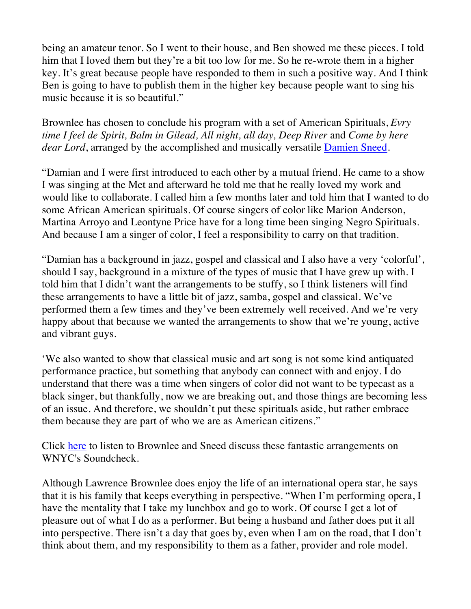being an amateur tenor. So I went to their house, and Ben showed me these pieces. I told him that I loved them but they're a bit too low for me. So he re-wrote them in a higher key. It's great because people have responded to them in such a positive way. And I think Ben is going to have to publish them in the higher key because people want to sing his music because it is so beautiful."

Brownlee has chosen to conclude his program with a set of American Spirituals, *Evry time I feel de Spirit, Balm in Gilead, All night, all day, Deep River* and *Come by here dear Lord*, arranged by the accomplished and musically versatile Damien Sneed.

"Damian and I were first introduced to each other by a mutual friend. He came to a show I was singing at the Met and afterward he told me that he really loved my work and would like to collaborate. I called him a few months later and told him that I wanted to do some African American spirituals. Of course singers of color like Marion Anderson, Martina Arroyo and Leontyne Price have for a long time been singing Negro Spirituals. And because I am a singer of color, I feel a responsibility to carry on that tradition.

"Damian has a background in jazz, gospel and classical and I also have a very 'colorful', should I say, background in a mixture of the types of music that I have grew up with. I told him that I didn't want the arrangements to be stuffy, so I think listeners will find these arrangements to have a little bit of jazz, samba, gospel and classical. We've performed them a few times and they've been extremely well received. And we're very happy about that because we wanted the arrangements to show that we're young, active and vibrant guys.

'We also wanted to show that classical music and art song is not some kind antiquated performance practice, but something that anybody can connect with and enjoy. I do understand that there was a time when singers of color did not want to be typecast as a black singer, but thankfully, now we are breaking out, and those things are becoming less of an issue. And therefore, we shouldn't put these spirituals aside, but rather embrace them because they are part of who we are as American citizens."

Click here to listen to Brownlee and Sneed discuss these fantastic arrangements on WNYC's Soundcheck.

Although Lawrence Brownlee does enjoy the life of an international opera star, he says that it is his family that keeps everything in perspective. "When I'm performing opera, I have the mentality that I take my lunchbox and go to work. Of course I get a lot of pleasure out of what I do as a performer. But being a husband and father does put it all into perspective. There isn't a day that goes by, even when I am on the road, that I don't think about them, and my responsibility to them as a father, provider and role model.